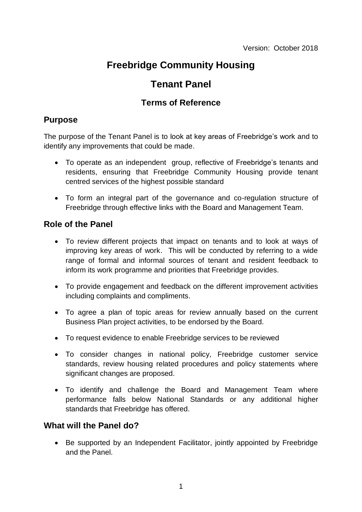# **Freebridge Community Housing**

# **Tenant Panel**

## **Terms of Reference**

## **Purpose**

The purpose of the Tenant Panel is to look at key areas of Freebridge's work and to identify any improvements that could be made.

- To operate as an independent group, reflective of Freebridge's tenants and residents, ensuring that Freebridge Community Housing provide tenant centred services of the highest possible standard
- To form an integral part of the governance and co-regulation structure of Freebridge through effective links with the Board and Management Team.

## **Role of the Panel**

- To review different projects that impact on tenants and to look at ways of improving key areas of work. This will be conducted by referring to a wide range of formal and informal sources of tenant and resident feedback to inform its work programme and priorities that Freebridge provides.
- To provide engagement and feedback on the different improvement activities including complaints and compliments.
- To agree a plan of topic areas for review annually based on the current Business Plan project activities, to be endorsed by the Board.
- To request evidence to enable Freebridge services to be reviewed
- To consider changes in national policy, Freebridge customer service standards, review housing related procedures and policy statements where significant changes are proposed.
- To identify and challenge the Board and Management Team where performance falls below National Standards or any additional higher standards that Freebridge has offered.

### **What will the Panel do?**

• Be supported by an Independent Facilitator, jointly appointed by Freebridge and the Panel.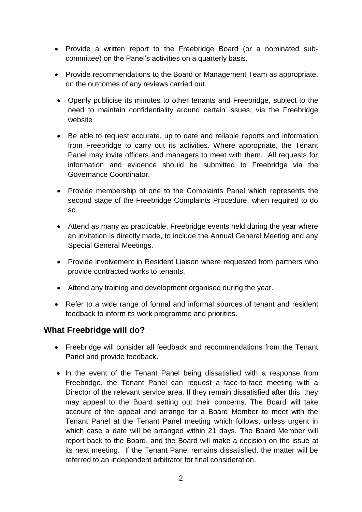- Provide a written report to the Freebridge Board (or a nominated subcommittee) on the Panel's activities on a quarterly basis.
- Provide recommendations to the Board or Management Team as appropriate, on the outcomes of any reviews carried out.
- Openly publicise its minutes to other tenants and Freebridge, subject to the need to maintain confidentiality around certain issues, via the Freebridge website
- Be able to request accurate, up to date and reliable reports and information from Freebridge to carry out its activities. Where appropriate, the Tenant Panel may invite officers and managers to meet with them. All requests for information and evidence should be submitted to Freebridge via the Governance Coordinator.
- Provide membership of one to the Complaints Panel which represents the second stage of the Freebridge Complaints Procedure, when required to do so.
- Attend as many as practicable, Freebridge events held during the year where an invitation is directly made, to include the Annual General Meeting and any Special General Meetings.
- Provide involvement in Resident Liaison where requested from partners who provide contracted works to tenants.
- Attend any training and development organised during the year.
- Refer to a wide range of formal and informal sources of tenant and resident feedback to inform its work programme and priorities.

### **What Freebridge will do?**

- Freebridge will consider all feedback and recommendations from the Tenant Panel and provide feedback.
- In the event of the Tenant Panel being dissatisfied with a response from Freebridge, the Tenant Panel can request a face-to-face meeting with a Director of the relevant service area. If they remain dissatisfied after this, they may appeal to the Board setting out their concerns. The Board will take account of the appeal and arrange for a Board Member to meet with the Tenant Panel at the Tenant Panel meeting which follows, unless urgent in which case a date will be arranged within 21 days. The Board Member will report back to the Board, and the Board will make a decision on the issue at its next meeting. If the Tenant Panel remains dissatisfied, the matter will be referred to an independent arbitrator for final consideration.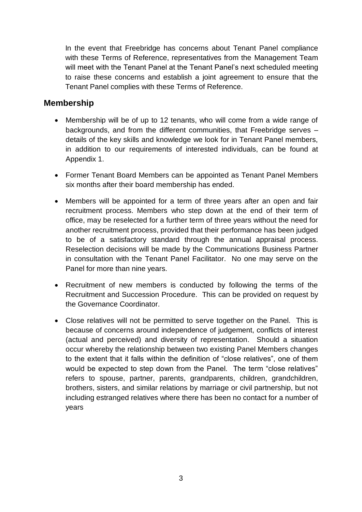In the event that Freebridge has concerns about Tenant Panel compliance with these Terms of Reference, representatives from the Management Team will meet with the Tenant Panel at the Tenant Panel's next scheduled meeting to raise these concerns and establish a joint agreement to ensure that the Tenant Panel complies with these Terms of Reference.

#### **Membership**

- Membership will be of up to 12 tenants, who will come from a wide range of backgrounds, and from the different communities, that Freebridge serves – details of the key skills and knowledge we look for in Tenant Panel members, in addition to our requirements of interested individuals, can be found at Appendix 1.
- Former Tenant Board Members can be appointed as Tenant Panel Members six months after their board membership has ended.
- Members will be appointed for a term of three years after an open and fair recruitment process. Members who step down at the end of their term of office, may be reselected for a further term of three years without the need for another recruitment process, provided that their performance has been judged to be of a satisfactory standard through the annual appraisal process. Reselection decisions will be made by the Communications Business Partner in consultation with the Tenant Panel Facilitator. No one may serve on the Panel for more than nine years.
- Recruitment of new members is conducted by following the terms of the Recruitment and Succession Procedure. This can be provided on request by the Governance Coordinator.
- Close relatives will not be permitted to serve together on the Panel. This is because of concerns around independence of judgement, conflicts of interest (actual and perceived) and diversity of representation. Should a situation occur whereby the relationship between two existing Panel Members changes to the extent that it falls within the definition of "close relatives", one of them would be expected to step down from the Panel. The term "close relatives" refers to spouse, partner, parents, grandparents, children, grandchildren, brothers, sisters, and similar relations by marriage or civil partnership, but not including estranged relatives where there has been no contact for a number of years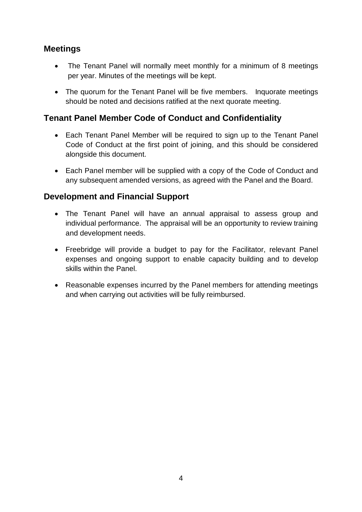## **Meetings**

- The Tenant Panel will normally meet monthly for a minimum of 8 meetings per year. Minutes of the meetings will be kept.
- The quorum for the Tenant Panel will be five members. Inquorate meetings should be noted and decisions ratified at the next quorate meeting.

## **Tenant Panel Member Code of Conduct and Confidentiality**

- Each Tenant Panel Member will be required to sign up to the Tenant Panel Code of Conduct at the first point of joining, and this should be considered alongside this document.
- Each Panel member will be supplied with a copy of the Code of Conduct and any subsequent amended versions, as agreed with the Panel and the Board.

### **Development and Financial Support**

- The Tenant Panel will have an annual appraisal to assess group and individual performance. The appraisal will be an opportunity to review training and development needs.
- Freebridge will provide a budget to pay for the Facilitator, relevant Panel expenses and ongoing support to enable capacity building and to develop skills within the Panel.
- Reasonable expenses incurred by the Panel members for attending meetings and when carrying out activities will be fully reimbursed.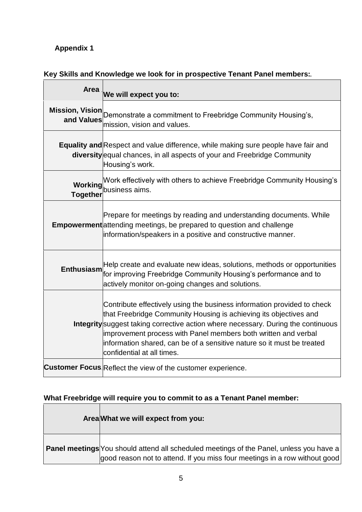## **Appendix 1**

## **Key Skills and Knowledge we look for in prospective Tenant Panel members:**

| <b>Area</b>       | We will expect you to:                                                                                                                                                                                                                                                                                                                                                                                             |
|-------------------|--------------------------------------------------------------------------------------------------------------------------------------------------------------------------------------------------------------------------------------------------------------------------------------------------------------------------------------------------------------------------------------------------------------------|
|                   | Mission, Vision Demonstrate a commitment to Freebridge Community Housing's,<br>mission, vision and values.                                                                                                                                                                                                                                                                                                         |
|                   | <b>Equality and Respect and value difference, while making sure people have fair and</b><br>diversity equal chances, in all aspects of your and Freebridge Community<br>Housing's work.                                                                                                                                                                                                                            |
| <b>Together</b>   | Work effectively with others to achieve Freebridge Community Housing's<br><b>Working</b><br>business aims.                                                                                                                                                                                                                                                                                                         |
|                   | Prepare for meetings by reading and understanding documents. While<br><b>Empowerment</b> attending meetings, be prepared to question and challenge<br>information/speakers in a positive and constructive manner.                                                                                                                                                                                                  |
| <b>Enthusiasm</b> | Help create and evaluate new ideas, solutions, methods or opportunities<br>for improving Freebridge Community Housing's performance and to<br>actively monitor on-going changes and solutions.                                                                                                                                                                                                                     |
|                   | Contribute effectively using the business information provided to check<br>that Freebridge Community Housing is achieving its objectives and<br><b>Integrity</b> suggest taking corrective action where necessary. During the continuous<br>improvement process with Panel members both written and verbal<br>information shared, can be of a sensitive nature so it must be treated<br>confidential at all times. |
|                   | <b>Customer Focus</b> Reflect the view of the customer experience.                                                                                                                                                                                                                                                                                                                                                 |

## **What Freebridge will require you to commit to as a Tenant Panel member:**

| Area What we will expect from you:                                                                                                                                           |
|------------------------------------------------------------------------------------------------------------------------------------------------------------------------------|
| <b>Panel meetings</b> You should attend all scheduled meetings of the Panel, unless you have a<br>good reason not to attend. If you miss four meetings in a row without good |